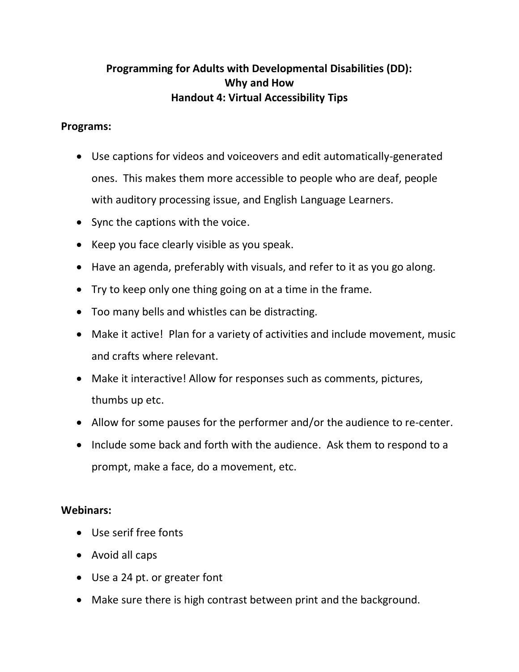## **Programming for Adults with Developmental Disabilities (DD): Why and How Handout 4: Virtual Accessibility Tips**

## **Programs:**

- Use captions for videos and voiceovers and edit automatically-generated ones. This makes them more accessible to people who are deaf, people with auditory processing issue, and English Language Learners.
- Sync the captions with the voice.
- Keep you face clearly visible as you speak.
- Have an agenda, preferably with visuals, and refer to it as you go along.
- Try to keep only one thing going on at a time in the frame.
- Too many bells and whistles can be distracting.
- Make it active! Plan for a variety of activities and include movement, music and crafts where relevant.
- Make it interactive! Allow for responses such as comments, pictures, thumbs up etc.
- Allow for some pauses for the performer and/or the audience to re-center.
- Include some back and forth with the audience. Ask them to respond to a prompt, make a face, do a movement, etc.

## **Webinars:**

- Use serif free fonts
- Avoid all caps
- Use a 24 pt. or greater font
- Make sure there is high contrast between print and the background.